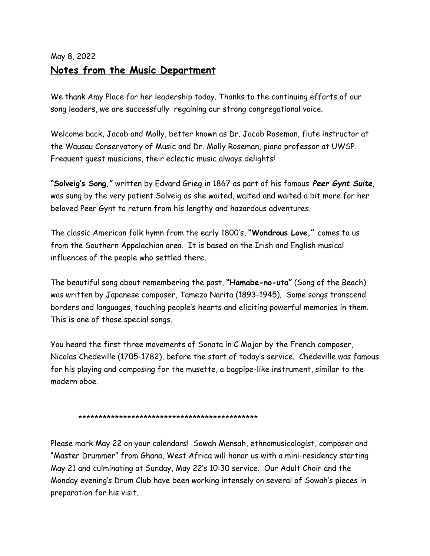## May 8, 2022 **Notes from the Music Department**

We thank Amy Place for her leadership today. Thanks to the continuing efforts of our song leaders, we are successfully regaining our strong congregational voice.

Welcome back, Jacob and Molly, better known as Dr. Jacob Roseman, flute instructor at the Wausau Conservatory of Music and Dr. Molly Roseman, piano professor at UWSP. Frequent guest musicians, their eclectic music always delights!

**"Solveig's Song,"** written by Edvard Grieg in 1867 as part of his famous *Peer Gynt Suite*, was sung by the very patient Solveig as she waited, waited and waited a bit more for her beloved Peer Gynt to return from his lengthy and hazardous adventures.

The classic American folk hymn from the early 1800's, **"Wondrous Love,"** comes to us from the Southern Appalachian area. It is based on the Irish and English musical influences of the people who settled there.

The beautiful song about remembering the past, **"Hamabe-no-uta"** (Song of the Beach) was written by Japanese composer, Tamezo Narita (1893-1945). Some songs transcend borders and languages, touching people's hearts and eliciting powerful memories in them. This is one of those special songs.

You heard the first three movements of Sonata in C Major by the French composer, Nicolas Chedeville (1705-1782), before the start of today's service. Chedeville was famous for his playing and composing for the musette, a bagpipe-like instrument, similar to the modern oboe.

## \*\*\*\*\*\*\*\*\*\*\*\*\*\*\*\*\*\*\*\*\*\*\*\*\*\*\*\*\*\*\*\*\*\*\*\*\*\*\*\*\*\*\*\*

Please mark May 22 on your calendars! Sowah Mensah, ethnomusicologist, composer and "Master Drummer" from Ghana, West Africa will honor us with a mini-residency starting May 21 and culminating at Sunday, May 22's 10:30 service. Our Adult Choir and the Monday evening's Drum Club have been working intensely on several of Sowah's pieces in preparation for his visit.